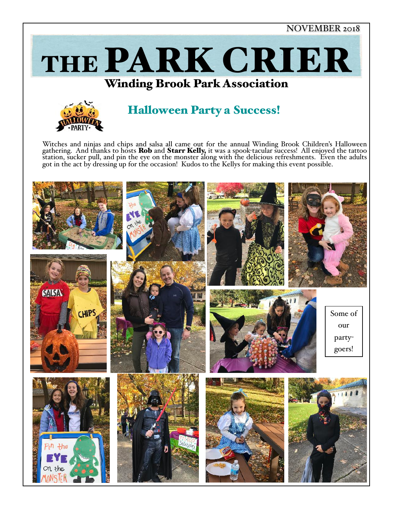NOVEMBER 2018









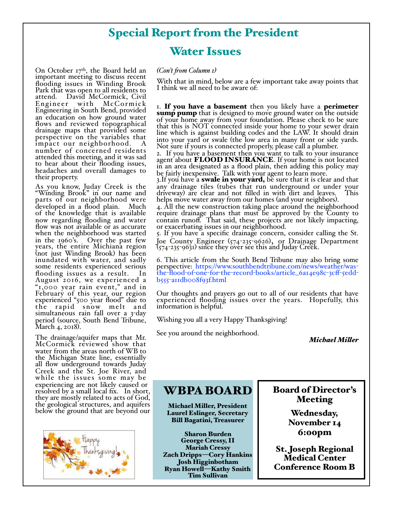# Special Report from the President

## Water Issues

On October  $17<sup>th</sup>$ , the Board held an important meeting to discuss recent flooding issues in Winding Brook Park that was open to all residents to David McCormick, Civil<br>r with McCormick Engineer with Engineering in South Bend, provided an education on how ground water flows and reviewed topographical drainage maps that provided some perspective on the variables that impact our neighborhood. number of concerned residents attended this meeting, and it was sad to hear about their flooding issues, headaches and overall damages to their property.

As you know, Juday Creek is the "Winding Brook" in our name and parts of our neighborhood were developed in a flood plain. Much of the knowledge that is available now regarding flooding and water flow was not available or as accurate when the neighborhood was started<br>in the 1960's. Over the past few years, the entire Michiana region (not just Winding Brook) has been inundated with water, and sadly some residents experienced serious flooding issues as a result. In August 2016, we experienced a "1,000 year rain event," and in February of this year, our region experienced "500 year flood" due to the rapid snow melt and<br>simultaneous rain fall over a 3-day period (source, South Bend Tribune, March 4, 2018).

The drainage/aquifer maps that Mr. McCormick reviewed show that water from the areas north of WB to the Michigan State line, essentially all flow underground towards Juday Creek and the St. Joe River, and while the issues some may be experiencing are not likely caused or<br>resolved by a small local fix. In short, they are mostly related to acts of God, the geological structures, and aquifers below the ground that are beyond our



### *(Con't fom Column 1)*

With that in mind, below are a few important take away points that I think we all need to be aware of:

I. If you have a basement then you likely have a perimeter<br>sump pump that is designed to move ground water on the outside of your home away from your foundation. Please check to be sure that this is NOT connected inside your home to your sewer drain line which is against building codes and the LAW. It should drain into your yard or swale (the low area in many front or side yards. Not sure if yours is connected properly, please call a plumber.

2. If you have a basement then you want to talk to your insurance agent about FLOOD INSURANCE. If your home is not located in an area designated as a flood plain, then adding this policy may be fairly inexpensive. Talk with your agent to learn more.

3.If you have a swale in your yard, be sure that it is clear and that 3. If you have a sware in your  $y$  and, so succession or under your any drainage tiles (tubes that run underground or under your driveway) are clear and not filled in with dirt and leaves. This helps move water away from

helps move water away from our homes (and your neighbors).<br>4. All the new construction taking place around the neighborhood require drainage plans that must be approved by the County to contain runoff. That said, these projects are not likely impacting, or exacerbating issues in our neighborhood.

5. If you have a specific drainage concern, consider calling the St. Joe County Engineer (574-235-9626), or Drainage Department (574-235-9631) since they over see this and Juday Creek.

6. This article from the South Bend Tribune may also bring some perspective: https://www.southbendtribune.com/news/weather/was- the-flood-of-one-for-the-record-books/article\_6a14e98c-3cff-5edd- b555-a11db008f93f.html

Our thoughts and prayers go out to all of our residents that have experienced flooding issues over the years. Hopefully, this information is helpful.

Wishing you all a very Happy Thanksgiving!

See you around the neighborhood. *Michael Miler*

# WBPA BOARD

Michael Miller, President Laurel Eslinger, Secretary Bill Bagatini, Treasurer

Sharon Burden George Cressy, II Mariah Cressy Zach Dripps—Cory Hankins Josh Higginbotham Ryan Howell—Kathy Smith Tim Sullivan

## Board of Director's Meeting

Wednesday, November 14 6:00pm

St. Joseph Regional Medical Center Conference Room B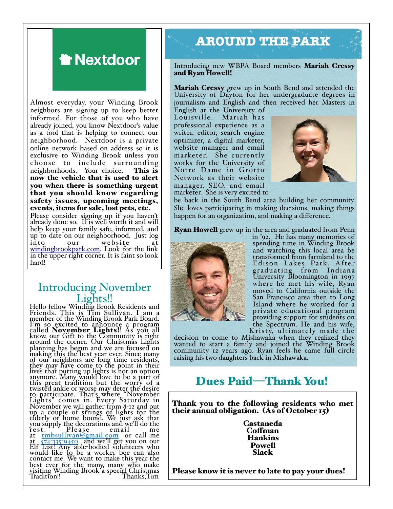

Almost everyday, your Winding Brook neighbors are signing up to keep better informed. For those of you who have already joined, you know Nextdoor's value as a tool that is helping to connect our neighborhood. Nextdoor is a private online network based on address so it is exclusive to Winding Brook unless you choose to include surrounding neighborhoods. Your choice. This is now the vehicle that is used to alert you when there is something urgent that you should know regarding safety issues, upcoming meetings, events, items for sale, lost pets, etc.

Please consider signing up if you haven't already done so. It is well worth it and will help keep your family safe, informed, and up to date on our neighborhood. Just log into our website at windingbrookpark.com. Look for the link in the upper right corner. It is faint so look hard!

# Introducing November<br>Lights!!<br>Hello fello<u>w</u> Winding Brook Residents and

Friends. This is Tim Sullivan. I am a member of the Winding Brook Park Board. I'm so excited to announce a program called **November Lights!**! As you all<br>know, our Gift to the Community is right around the corner. Our Christmas Lights planning has begun and we are focused on making this the best year ever. Since many of our neighbors are long time residents, they may have come to the point in their lives that putting up lights is not an option anymore. Many would love to be a part of this great tradition but the worry of a twisted ankle or worse may deter the desire to participate. That's where "November Lights" comes in. Every Saturday in November we will gather from 8-12 and put<br>up a couple of strings of lights for the elderly or home bound. We just ask that you supply the decorations and we'll do the  $\text{rest.}$  Please email me at tmbsullivan@gmail.com or call me at 574-335-9450 and we'll get you on our<br>Elf List! Any able-bodied volunteers who would like to be a worker bee can also contact me. We want to make this year the best ever for the many, many who make visiting Winding Brook a special Christmas Tradition!! Thanks,Tim

# **AROUND THE PARK**

Introducing new WBPA Board members Mariah Cressy and Ryan Howell!

Mariah Cressy grew up in South Bend and attended the University of Dayton for her undergraduate degrees in journalism and English and then received her Masters in

English at the University of Mariah has professional experience as a writer, editor, search engine optimizer, a digital marketer, website manager and email marketer. She currently works for the University of Notre Dame in Grotto Network as their website manager, SEO, and email marketer. She is very excited to



be back in the South Bend area building her community. She loves participating in making decisions, making things happen for an organization, and making a difference.

Ryan Howell grew up in the area and graduated from Penn



in '92. He has many memories of spending time in Winding Brook and watching this local area be transformed from farmland to the Edison Lakes Park. After graduating from Indiana University Bloomington in 1997 where he met his wife, Ryan moved to California outside the San Francisco area then to Long Island where he worked for a private educational program providing support for students on the Spectrum. He and his wife,<br>Kristy, ultimately made the

decision to come to Mishawaka when they realized they wanted to start a family and joined the Winding Brook community 12 years ago. Ryan feels he came full circle raising his two daughters back in Mishawaka.

# Dues Paid—Thank You!

Thank you to the following residents who met their annual obligation. (As of October 15)

> Castaneda Cofman Hankins Powell Slack

Please know it is never to late to pay your dues!